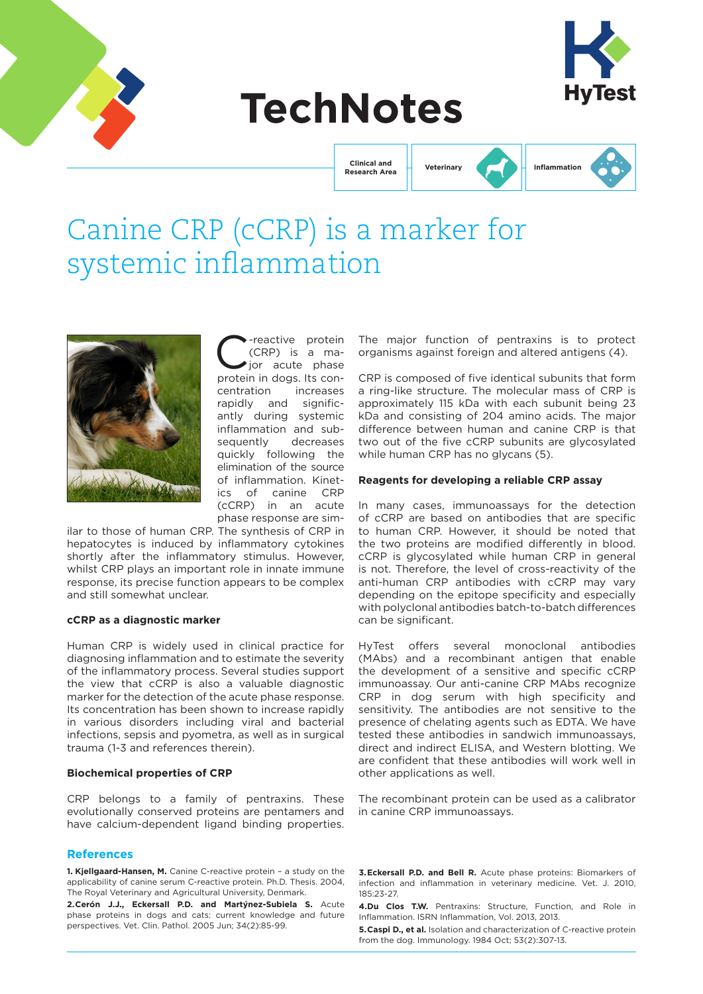

# **TechNotes**



**Clinical and Research Area**

## **Veterinary Inflammation**

## Canine CRP (cCRP) is a marker for systemic inflammation



-reactive protein (CRP) is a major acute phase protein in dogs. Its concentration increases rapidly and significantly during systemic inflammation and subsequently decreases quickly following the elimination of the source of inflammation. Kinetics of canine CRP (cCRP) in an acute phase response are sim-

ilar to those of human CRP. The synthesis of CRP in hepatocytes is induced by inflammatory cytokines shortly after the inflammatory stimulus. However, whilst CRP plays an important role in innate immune response, its precise function appears to be complex and still somewhat unclear.

## **cCRP as a diagnostic marker**

Human CRP is widely used in clinical practice for diagnosing inflammation and to estimate the severity of the inflammatory process. Several studies support the view that cCRP is also a valuable diagnostic marker for the detection of the acute phase response. Its concentration has been shown to increase rapidly in various disorders including viral and bacterial infections, sepsis and pyometra, as well as in surgical trauma (1-3 and references therein).

## **Biochemical properties of CRP**

CRP belongs to a family of pentraxins. These evolutionally conserved proteins are pentamers and have calcium-dependent ligand binding properties.

#### **References**

**1. Kjellgaard-Hansen, M.** Canine C-reactive protein – a study on the applicability of canine serum C-reactive protein. Ph.D. Thesis. 2004, The Royal Veterinary and Agricultural University, Denmark.

**2.Cerón J.J., Eckersall P.D. and Martýnez-Subiela S.** Acute phase proteins in dogs and cats: current knowledge and future perspectives. Vet. Clin. Pathol. 2005 Jun; 34(2):85-99.

The major function of pentraxins is to protect organisms against foreign and altered antigens (4).

CRP is composed of five identical subunits that form a ring-like structure. The molecular mass of CRP is approximately 115 kDa with each subunit being 23 kDa and consisting of 204 amino acids. The major difference between human and canine CRP is that two out of the five cCRP subunits are glycosylated while human CRP has no glycans (5).

#### **Reagents for developing a reliable CRP assay**

In many cases, immunoassays for the detection of cCRP are based on antibodies that are specific to human CRP. However, it should be noted that the two proteins are modified differently in blood. cCRP is glycosylated while human CRP in general is not. Therefore, the level of cross-reactivity of the anti-human CRP antibodies with cCRP may vary depending on the epitope specificity and especially with polyclonal antibodies batch-to-batch differences can be significant.

HyTest offers several monoclonal antibodies (MAbs) and a recombinant antigen that enable the development of a sensitive and specific cCRP immunoassay. Our anti-canine CRP MAbs recognize CRP in dog serum with high specificity and sensitivity. The antibodies are not sensitive to the presence of chelating agents such as EDTA. We have tested these antibodies in sandwich immunoassays, direct and indirect ELISA, and Western blotting. We are confident that these antibodies will work well in other applications as well.

The recombinant protein can be used as a calibrator in canine CRP immunoassays.

**3.Eckersall P.D. and Bell R.** Acute phase proteins: Biomarkers of infection and inflammation in veterinary medicine. Vet. J. 2010, 185:23-27.

**4.Du Clos T.W.** Pentraxins: Structure, Function, and Role in Inflammation. ISRN Inflammation, Vol. 2013, 2013.

**5.Caspi D., et al.** Isolation and characterization of C-reactive protein from the dog. Immunology. 1984 Oct; 53(2):307-13.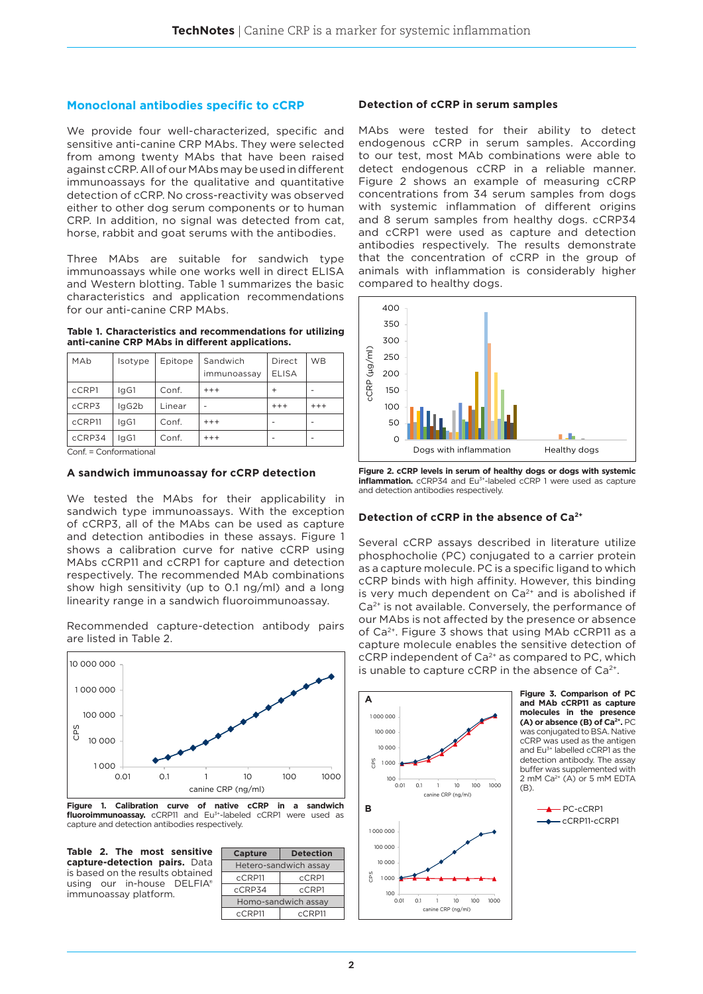## **Monoclonal antibodies specific to cCRP**

We provide four well-characterized, specific and sensitive anti-canine CRP MAbs. They were selected from among twenty MAbs that have been raised against cCRP. All of our MAbs may be used in different immunoassays for the qualitative and quantitative detection of cCRP. No cross-reactivity was observed either to other dog serum components or to human CRP. In addition, no signal was detected from cat, horse, rabbit and goat serums with the antibodies.

Three MAbs are suitable for sandwich type immunoassays while one works well in direct ELISA and Western blotting. Table 1 summarizes the basic characteristics and application recommendations for our anti-canine CRP MAbs.

#### **Table 1. Characteristics and recommendations for utilizing anti-canine CRP MAbs in different applications.**

| MAb    | Isotype | Epitope | Sandwich<br>immunoassay | Direct<br><b>ELISA</b> | <b>WB</b> |
|--------|---------|---------|-------------------------|------------------------|-----------|
| cCRP1  | laG1    | Conf.   | $+++$                   | $\ddot{}$              |           |
| cCRP3  | lgG2b   | Linear  |                         | $+++$                  | $+++$     |
| cCRP11 | laG1    | Conf.   | $+++$                   |                        |           |
| cCRP34 | lgG1    | Conf.   | $+++$                   |                        |           |

Conf. = Conformational

## **A sandwich immunoassay for cCRP detection**

We tested the MAbs for their applicability in sandwich type immunoassays. With the exception of cCRP3, all of the MAbs can be used as capture and detection antibodies in these assays. Figure 1 shows a calibration curve for native cCRP using MAbs cCRP11 and cCRP1 for capture and detection respectively. The recommended MAb combinations show high sensitivity (up to 0.1 ng/ml) and a long linearity range in a sandwich fluoroimmunoassay.

Recommended capture-detection antibody pairs are listed in Table 2.



**Figure 1. Calibration curve of native cCRP in a sandwich fluoroimmunoassay.** cCRP11 and Eu3+-labeled cCRP1 were used as capture and detection antibodies respectively.

**Table 2. The most sensitive capture-detection pairs.** Data is based on the results obtained using our in-house DELFIA® immunoassay platform.

| <b>Capture</b>        | <b>Detection</b> |  |  |  |
|-----------------------|------------------|--|--|--|
| Hetero-sandwich assay |                  |  |  |  |
| cCRP11                | cCRP1            |  |  |  |
| cCRP34                | cCRP1            |  |  |  |
| Homo-sandwich assay   |                  |  |  |  |
| cCRP11                | cCRP11           |  |  |  |

#### **Detection of cCRP in serum samples**

MAbs were tested for their ability to detect endogenous cCRP in serum samples. According to our test, most MAb combinations were able to detect endogenous cCRP in a reliable manner. Figure 2 shows an example of measuring cCRP concentrations from 34 serum samples from dogs with systemic inflammation of different origins and 8 serum samples from healthy dogs. cCRP34 and cCRP1 were used as capture and detection antibodies respectively. The results demonstrate that the concentration of cCRP in the group of animals with inflammation is considerably higher compared to healthy dogs.



**Figure 2. cCRP levels in serum of healthy dogs or dogs with systemic inflammation.** cCRP34 and Eu<sup>3+</sup>-labeled cCRP 1 were used as capture and detection antibodies respectively.

## **Detection of cCRP in the absence of Ca2+**

Several cCRP assays described in literature utilize phosphocholie (PC) conjugated to a carrier protein as a capture molecule. PC is a specific ligand to which cCRP binds with high affinity. However, this binding is very much dependent on  $Ca<sup>2+</sup>$  and is abolished if Ca<sup>2+</sup> is not available. Conversely, the performance of our MAbs is not affected by the presence or absence of Ca2+. Figure 3 shows that using MAb cCRP11 as a capture molecule enables the sensitive detection of  $c$ CRP independent of Ca<sup>2+</sup> as compared to PC, which is unable to capture  $c$ CRP in the absence of Ca<sup>2+</sup>.

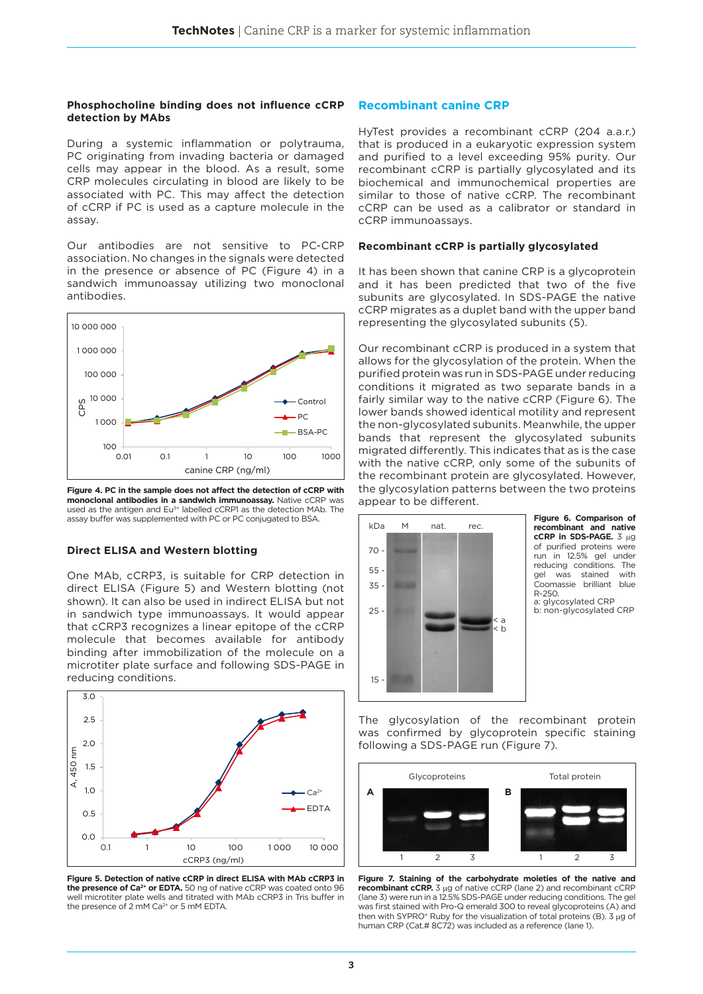#### **Phosphocholine binding does not influence cCRP detection by MAbs**

During a systemic inflammation or polytrauma, PC originating from invading bacteria or damaged cells may appear in the blood. As a result, some CRP molecules circulating in blood are likely to be associated with PC. This may affect the detection of cCRP if PC is used as a capture molecule in the assay.

Our antibodies are not sensitive to PC-CRP association. No changes in the signals were detected in the presence or absence of PC (Figure 4) in a sandwich immunoassay utilizing two monoclonal antibodies.



**Figure 4. PC in the sample does not affect the detection of cCRP with monoclonal antibodies in a sandwich immunoassay.** Native cCRP was used as the antigen and Eu<sup>3+</sup> labelled cCRP1 as the detection MAb. The assay buffer was supplemented with PC or PC conjugated to BSA.

## **Direct ELISA and Western blotting**

One MAb, cCRP3, is suitable for CRP detection in direct ELISA (Figure 5) and Western blotting (not shown). It can also be used in indirect ELISA but not in sandwich type immunoassays. It would appear that cCRP3 recognizes a linear epitope of the cCRP molecule that becomes available for antibody binding after immobilization of the molecule on a microtiter plate surface and following SDS-PAGE in reducing conditions.



**Figure 5. Detection of native cCRP in direct ELISA with MAb cCRP3 in the presence of Ca2+ or EDTA.** 50 ng of native cCRP was coated onto 96 well microtiter plate wells and titrated with MAb cCRP3 in Tris buffer in the presence of 2 mM Ca<sup>2+</sup> or 5 mM EDTA.

## **Recombinant canine CRP**

HyTest provides a recombinant cCRP (204 a.a.r.) that is produced in a eukaryotic expression system and purified to a level exceeding 95% purity. Our recombinant cCRP is partially glycosylated and its biochemical and immunochemical properties are similar to those of native cCRP. The recombinant cCRP can be used as a calibrator or standard in cCRP immunoassays.

## **Recombinant cCRP is partially glycosylated**

It has been shown that canine CRP is a glycoprotein and it has been predicted that two of the five subunits are glycosylated. In SDS-PAGE the native cCRP migrates as a duplet band with the upper band representing the glycosylated subunits (5).

Our recombinant cCRP is produced in a system that allows for the glycosylation of the protein. When the purified protein was run in SDS-PAGE under reducing conditions it migrated as two separate bands in a fairly similar way to the native cCRP (Figure 6). The lower bands showed identical motility and represent the non-glycosylated subunits. Meanwhile, the upper bands that represent the glycosylated subunits migrated differently. This indicates that as is the case with the native cCRP, only some of the subunits of the recombinant protein are glycosylated. However, the glycosylation patterns between the two proteins appear to be different.



**Figure 6. Comparison of recombinant and native cCRP in SDS-PAGE.** 3 µg of purified proteins were run in 12.5% gel under reducing conditions. The gel was stained with Coomassie brilliant blue R-250. a: glycosylated CRP b: non-glycosylated CRP

The glycosylation of the recombinant protein was confirmed by glycoprotein specific staining following a SDS-PAGE run (Figure 7).



**Figure 7. Staining of the carbohydrate moieties of the native and recombinant cCRP.** 3 µg of native cCRP (lane 2) and recombinant cCRP (lane 3) were run in a 12.5% SDS-PAGE under reducing conditions. The gel was first stained with Pro-Q emerald 300 to reveal glycoproteins (A) and then with SYPRO® Ruby for the visualization of total proteins (B). 3 µg of human CRP (Cat.# 8C72) was included as a reference (lane 1).